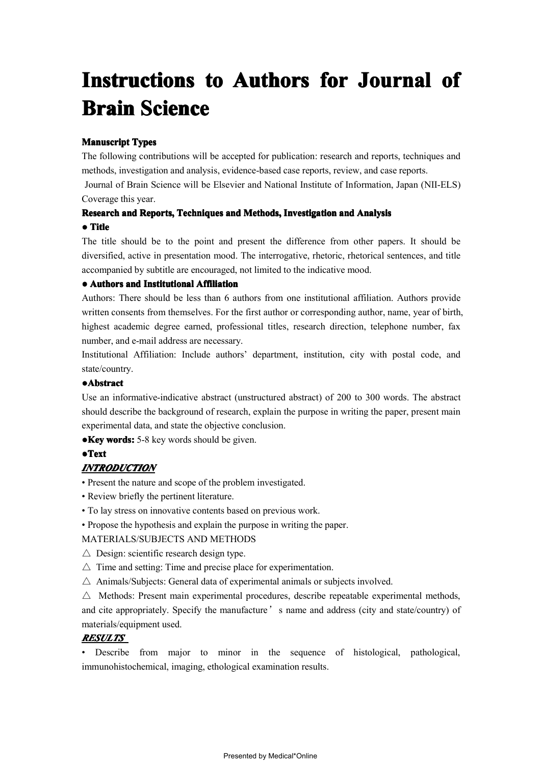# **Instructions to Authors for Journal of**<br>**Brain Science**<br>Manuscript Types<br>The following contributions will be accepted for publication: research and reports, techniques and<br>methods, investigation and analysis, evidence-bas

**Brain Science**<br>**Manuscript Types**<br>The following contributions will methods, investigation and analys<br>Journal of Brain Science will be<br>Coverage this vear. **Manuscript Types**<br>The following cont<br>methods, investigat The following contributions will be accepted for publication: research and reports, techniques and methods, investigation and analysis, evidence-based case reports, review, and case reports.<br>Journal of Brain Science will b

methods, investigation and analysis, evidence-based case reports, review, and case reports.<br>Journal of Brain Science will be Elsevier and National Institute of Information, Japan (I)<br>Coverage this year. Journal of Brain Science will be Elsevier and National Institute of Information, Japan (NII-ELS)<br>Coverage this year.<br>**Research and Reports, Techniques and Methods, Investigation and Analysis** 

# Research and Reports, Techniques and Methods, Investigation and Analysis<br>• Title

Research and Reports, Techniques and Methods, Investigation and Analysis<br>• Title<br>The title should be to the point and present the difference from other pap **● Title** The title should be to the point and present the difference from other papers. It should be diversified, active in presentation mood. The interrogative, rhetoric, rhetorical sentences, and title accompanied by subtitle are diversified, active in presentation mood. The interrogative, rhetoric, rhetorical sentences, and title accompanied by subtitle are encouraged, not limited to the indicative mood.<br>
• Authors and Institutional Affiliation<br>Au accompanied by subtitle are encouraged, not limited to the indicative mood.

**• Authors and Institutional Affiliation**<br>Authors: There should be less than 6 a<br>written consents from themselves. For the Authors: There should be less than 6 authors from one institutional affiliation. Authors provide written consents from themselves. For the first author or corresponding author, name, year of birth highest academic degree e written consents from themselves. For the first author or corresponding author, name, year of birth, highest academic degree earned, professional titles, research direction, telephone number, fax number, and e-mail address highest academic degree earned, professional titles, research direction, telephone number, fax<br>number, and e-mail address are necessary.<br>Institutional Affiliation: Include authors' department, institution, city with postal

number, and e-mail address are necessary.<br>Institutional Affiliation: Include authors<br>state/country. Institutional Affiliation: Include authors' department, institution, city with postal code, and<br>state/country.<br>Abstract state/country.

# **●Abstract Abstract Abstract**

Use an informative-indicative abstract (unstructured abstract) of 200 to 300 words. The abstract should describe the background of research, explain the purpose in writing the paper, present main experimental data, and sta should describe the background of research, explain the purpose in writing the paper, present main experimental data, and state the objective conclusion.<br>
• Key words: 5-8 key words should be given. experimental data, and state the objective conclusion.

**●Key words:** 5-8 key words should be <sup>g</sup>iven.

# **●Text**

# *INTRODUCTION INTRODUCTION*

• Present the nature and scope of the problem investigated.

- 
- Review briefly the pertinent literature.<br>• To lay stress on innovative contents ba<br>• Propose the hypothesis and explain the • To lay stress on innovative contents based on previous work.<br>• Propose the hypothesis and explain the purpose in writing the MATERIALS/SUBJECTS AND METHODS
	- Propose the hypothesis and explain the purpose in writing the paper.<br>MATERIALS/SUBJECTS AND METHODS<br> $\triangle$  Design: scientific research design type.<br> $\triangle$  Time and setting: Time and precise place for experimentation.

# MATERIALS/SUBJECTS AND METHODS

- 
- 
- $\triangle$  Animals/Subjects: General data of experimental animals or subjects involved.

 $\triangle$  Design: scientific research design type.<br>  $\triangle$  Time and setting: Time and precise place for experimentation.<br>  $\triangle$  Animals/Subjects: General data of experimental animals or subjects involved.<br>  $\triangle$  Methods: Present m  $\triangle$  Animals/Subjects: General data of experimental animals or subjects involved.<br>  $\triangle$  Methods: Present main experimental procedures, describe repeatable experimental cite appropriately. Specify the manufacture's name an  $\triangle$  Methods: Present main experimental procedures, describe repeatable experimental methods,<br>and cite appropriately. Specify the manufacture's name and address (city and state/country) of<br>materials/equipment used. and cite appropriately. Specify the manufacture's name and address (city and state/country) of materials/equipment used.<br> **RESULTS** 

# *RESULTS RESULTS*

materials/equipment used.<br> **RESULTS**<br>
• Describe from maj • Describe from major to minor in the sequence of histological, pathological, immunohistochemical, imaging, ethological examination results.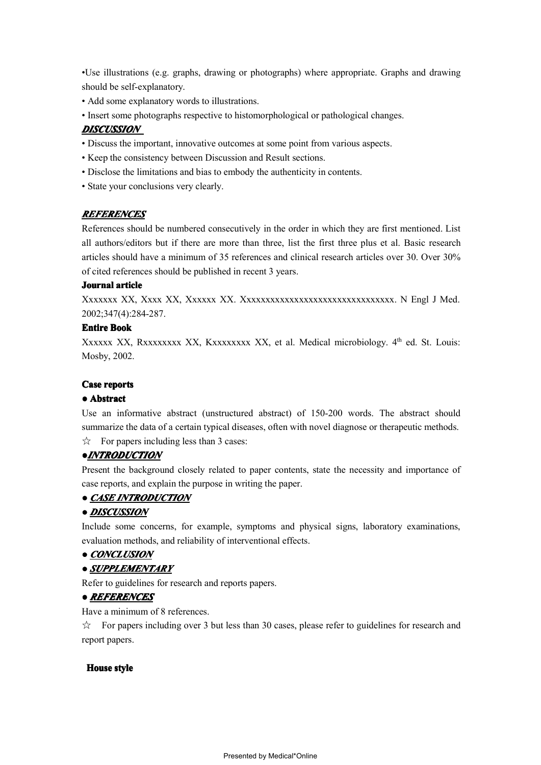•Use illustrations (e.g. graphs, drawing or photographs) where appropriate. Graphs and drawing should be self-explanatory.<br>• Add some explanatory words to illustrations.<br>• Insert some photographs respective to histomorphol should be self-explanatory.<br>• Add some explanatory we<br>• Insert some photographs

- 
- Add some explanatory words to illustrations.<br>• Insert some photographs respective to histom<br>**DISCUSSION** • Insert some photographs respective to histomorphological or pathological changes.<br> **DISCUSSION**<br>
• Discuss the important, innovative outcomes at some point from various aspects.

# *DISCUSSION DISCUSSION*

- Discuss the important, innovative outcomes at some point from various aspects.<br>• Keep the consistency between Discussion and Result sections.<br>• Disclose the limitations and bias to embody the authenticity in contents.
	-
- Keep the consistency between Discussion and Result sections.<br>• Disclose the limitations and bias to embody the authenticity in<br>• State your conclusions very clearly. • Disclose the limitations and bias to embody the authenticity in contents.
	- State your conclusions very clearly.

# *REFERENCES REFERENCES*

References should be numbered consecutively in the order in which they are first mentioned. List all authors/editors but if there are more than three, list the first three plus et al. Basic research articles should have a minimum of 35 references and clinical research articles over 30. Over 30% of cited references sho articles should have <sup>a</sup> minimum of <sup>35</sup> references and clinical research articles over 30. Over 30% of cited references should be published in recent <sup>3</sup> years.

**Journal article**<br>**Xxxxxxx XX**,<br>2002;347(4):28 Xxxxxxx XX, Xxxx XX, Xxxxxx XX. Xxxxxxxxxxxxxxxxxxxxxxxxxxxxxxxx. <sup>N</sup> Engl <sup>J</sup> Med. 2002;347(4):284-287.

**Entire Book**<br>Xxxxxx XX<br>Mosby, 2002 Xxxxxx XX, Rxxxxxxxx XX, Kxxxxxxxx XX, et al. Medical microbiology. 4<sup>th</sup> ed. St. Louis:<br>Mosby, 2002. Mosby, 2002.<br>Case reports<br>• Abstract

**Case reports**<br> **• Abstract**<br>
Use an informative abstract (unstructured abstract) of 150-200 words. The abstract should **● <b>Abstract**<br>
Use an in <br>
summarize Use an informative abstract (unstructured abstract) of 150-200 words. The abstract should<br>summarize the data of a certain typical diseases, often with novel diagnose or therapeutic methods.<br> $\frac{1}{N}$  For papers including summarize the data of a certain typical diseases, often with novel diagnose or therapeutic methods.<br>  $\sqrt{x}$  For papers including less than 3 cases:<br> **• INTRODUCTION**  $\forall$  For papers including less than 3 cases:

### **●***INTRODUCTION INTRODUCTION*

Present the background closely related to paper contents, state the necessity and importance of case reports, and explain the purpose in writing the paper.

# **• CASE INTRODUCTION**

# **●** *DISCUSSION*

**• CASE INTRODUCTION**<br>**• DISCUSSION**<br>Include some concerns, for Include some concerns, for example, symptoms and physical signs, laboratory examinations, evaluation methods, and reliability of interventional effects.<br>
• CONCLUSION evaluation methods, and reliability of interventional effects.

# **●** *CONCLUSION CONCLUSION*

# **●** *SUPPLEMENTARY*

Refer to guidelines for research and reports papers.<br>
• **REFERENCES**<br>
Have a minimum of 8 references.

# **●** *REFERENCES REFERENCESREFERENCESREFERENCES*

Have a minimum of 8 references.<br>  $\frac{1}{100}$  For papers including over 3 report papers.  $\hat{\varphi}$  For papers including over 3 but less than 30 cases, please refer to guidelines for research and report papers. report papers.

### **House style ouse style**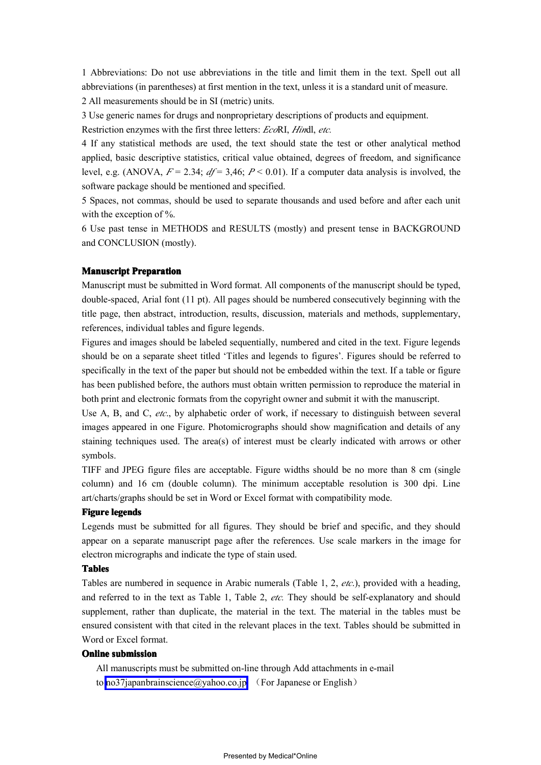1 Abbreviations: Do not use abbreviations in the title and limit them in the text. Spell out all abbreviations (in parentheses) at first mention in the text, unless it is a standard unit of measure.

<sup>2</sup> All measurements should be in SI (metric) units.

3 Use generic names for drugs and nonproprietary descriptions of products and equipment.<br>Restriction enzymes with the first three letters: EcoRI, Hindl, etc.

3 Use generic names for drugs and nonproprietary descriptions of products and equipment.<br>Restriction enzymes with the first three letters: EcoRI, Hindl, etc.<br>4 If any statistical methods are used, the text should state the Restriction enzymes with the first three letters: *Eco*RI, *Hin*dl, *etc.*<br>4 If any statistical methods are used, the text should state the<br>applied, basic descriptive statistics, critical value obtained, degr 4 If any statistical methods are used, the text should state the test or other analytical method applied, basic descriptive statistics, critical value obtained, degrees of freedom, and significance level, e.g. (ANOVA,  $F =$ applied, basic descriptive statistics, critical value obtained, degrees of freedom, and significance level, e.g. (ANOVA,  $F = 2.34$ ;  $df = 3.46$ ;  $P < 0.01$ ). If a computer data analysis is involved, the software package shou level, e.g. (ANOVA,  $F = 2.34$ ;  $df = 3,46$ ;  $P < 0.01$ ). If a computer data analysis is involved, the software package should be mentioned and specified.<br>5 Spaces, not commas, should be used to separate thousands and used bef

5 Spaces, not commas, should be used to separate thousands and used before and after each unit 5 Spaces, not commas, should be used to separate thousands and used before and after each unit<br>with the exception of %.<br>6 Use past tense in METHODS and RESULTS (mostly) and present tense in BACKGROUND

with the exception of %.<br>6 Use past tense in ME<br>and CONCLUSION (mo 6 Use past tense in METHODS and RESULTS (mostly) and present tense in BACKGROUND<br>and CONCLUSION (mostly). and CONCLUSION (mostly).

**Manuscript Preparation**<br>Manuscript must be submitted in Word format. All components of the manuscript should be typed,<br>double-spaced, Arial font (11 pt). All pages should be numbered consecutively beginning with the<br>title Manuscript must be submitted in Word format. All components of the manuscript should be typed, double-spaced, Arial font (11 pt). All pages should be numbered consecutively beginning with the title page, then abstract, int double-spaced, Arial font (11 <sup>p</sup>t). All pages should be numbered consecutively beginning with the title page, then abstract, introduction, results, discussion, materials and methods, supplementary, references, individual tables and figure legends.<br>Figures and images should be labeled sequentially, numbered and cited in

references, individual tables and figure legends.<br>Figures and images should be labeled sequentia<br>should be on a separate sheet titled 'Titles and Figures and images should be labeled sequentially, numbered and cited in the text. Figure legends should be on a separate sheet titled 'Titles and legends to figures'. Figures should be referred to specifically in the text should be on a separate sheet titled 'Titles and legends to figures'. Figures should be referred to specifically in the text of the paper but should not be embedded within the text. If a table or figure has been published specifically in the text of the paper but should not be embedded within the text. If a table or figure has been published before, the authors must obtain written permission to reproduce the material in both print and elec has been published before, the authors must obtain written permission to reproduce the material in<br>both print and electronic formats from the copyright owner and submit it with the manuscript.<br>Use A, B, and C, *etc.*, by a

both print and electronic formats from the copyright owner and submit it with the manuscript.<br>Use A, B, and C, *etc.*, by alphabetic order of work, if necessary to distinguish between sumages appeared in one Figure. Photom Use A, B, and C, *etc.*, by alphabetic order of work, if necessary to distinguish between several images appeared in one Figure. Photomicrographs should show magnification and details of any staining techniques used. The a images appeared in one Figure. Photomicrographs should show magnification and details of any<br>staining techniques used. The area(s) of interest must be clearly indicated with arrows or other<br>symbols. staining techniques used. The area(s) of interest must be clearly indicated with arrows or other<br>symbols.<br>TIFF and JPEG figure files are acceptable. Figure widths should be no more than 8 cm (single symbols.

TIFF and JPEG figure files are acceptable. Figure widths should be no more than 8 cm (single column) and 16 cm (double column). The minimum acceptable resolution is 300 dpi. Line art/charts/graphs should be set in Word or column) and <sup>16</sup> cm (double column). The minimum acceptable resolution is <sup>300</sup> dpi. Line

art/charts/graphs should be set in Word or Excel format with compatibility mode.<br> **Figure legends**<br>
Legends must be submitted for all figures. They should be brief and specific **Figure legends**<br>**Legends** must<br>appear on a se Legends must be submitted for all figures. They should be brief and specific, and they should appear on a separate manuscript page after the references. Use scale markers in the image for electron micrographs and indicate appear on a separate manuscript page after the references. Use scale markers in the image for electron micrographs and indicate the type of stain used.<br> **Tables**<br>
Tables are numbered in sequence in Arabic numerals (Table electron micrographs and indicate the type of stain used.

### **Tables**

Tables are numbered in sequence in Arabic numerals (Table 1, 2, *etc.*), provided with a heading, and referred to in the text as Table 1, Table 2, *etc.* They should be self-explanatory and should supplement, rather than d and referred to in the text as Table 1, Table 2, *etc*. They should be self-explanatory and should supplement, rather than duplicate, the material in the text. The material in the tables must be ensured consistent with tha supplement, rather than duplicate, the material in the text. The material in the tables must be ensured consistent with that cited in the relevant <sup>p</sup>laces in the text. Tables should be submitted in Word or Excel format.

### $O<sub>n</sub>$ **line** submission

All manuscripts must be submitted on-line through Add attachments in e-mail to [no37japanbrainscience@yahoo.co.jp](mailto:no37japanbrainscience@yahoo.co.jp) (For Japanese or English)